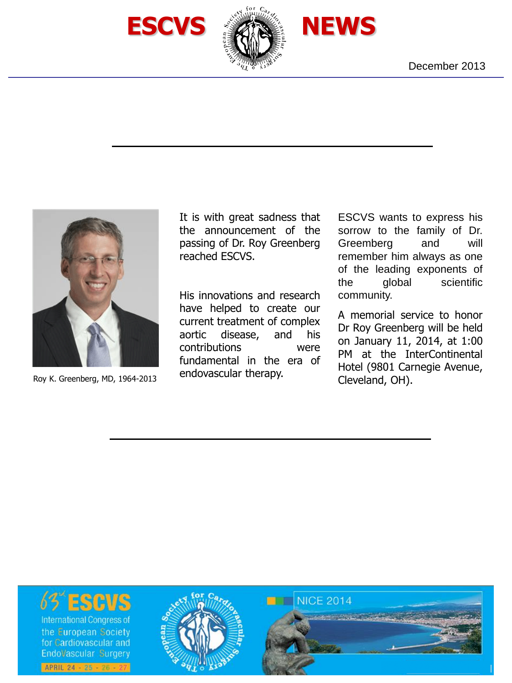





Roy K. Greenberg, MD, 1964-2013

It is with great sadness that the announcement of the passing of Dr. Roy Greenberg reached ESCVS.

His innovations and research have helped to create our current treatment of complex aortic disease, and his contributions were fundamental in the era of endovascular therapy.

ESCVS wants to express his sorrow to the family of Dr. Greemberg and will remember him always as one of the leading exponents of the global scientific community.

A memorial service to honor Dr Roy Greenberg will be held on January 11, 2014, at 1:00 PM at the InterContinental Hotel (9801 Carnegie Avenue, Cleveland, OH).

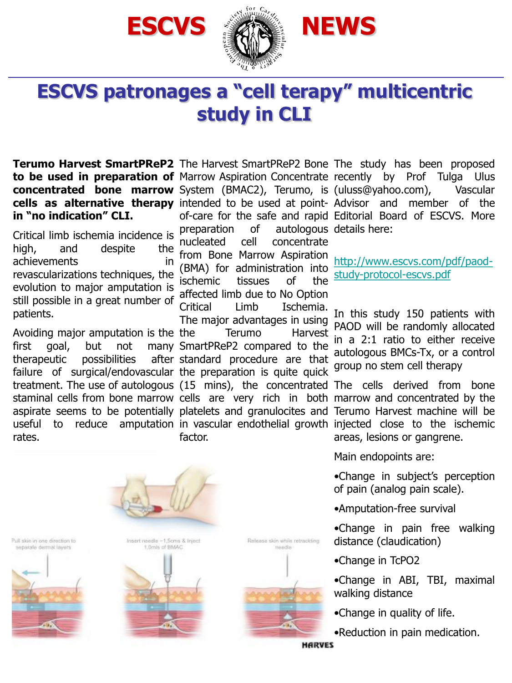![](_page_1_Picture_0.jpeg)

![](_page_1_Picture_1.jpeg)

# **ESCVS patronages a "cell terapy" multicentric study in CLI**

**in "no indication" CLI.**

Critical limb ischemia incidence is high, and despite the achievements in revascularizations techniques, the evolution to major amputation is still possible in a great number of patients.

Avoiding major amputation is the first goal, but not many SmartPReP2 compared to the therapeutic possibilities failure of surgical/endovascular the preparation is quite quick treatment. The use of autologous (15 mins), the concentrated The cells derived from bone staminal cells from bone marrow cells are very rich in both marrow and concentrated by the aspirate seems to be potentially platelets and granulocites and Terumo Harvest machine will be useful to reduce amputation in vascular endothelial growth injected close to the ischemic rates.

preparation of nucleated cell concentrate from Bone Marrow Aspiration (BMA) for administration into ischemic tissues of the affected limb due to No Option Critical Limb Ischemia. The major advantages in using Terumo Harvest after standard procedure are that factor.

**Terumo Harvest SmartPReP2** The Harvest SmartPReP2 Bone The study has been proposed **to be used in preparation of** Marrow Aspiration Concentrate recently by Prof Tulga Ulus **concentrated bone marrow** System (BMAC2), Terumo, is (uluss@yahoo.com), Vascular **cells as alternative therapy** intended to be used at point- Advisor and member of the of-care for the safe and rapid Editorial Board of ESCVS. More autologous details here:

> [http://www.escvs.com/pdf/paod](http://www.escvs.com/pdf/paod-study-protocol-escvs.pdf)study-protocol-escvs.pdf

In this study 150 patients with PAOD will be randomly allocated in a 2:1 ratio to either receive autologous BMCs-Tx, or a control group no stem cell therapy

areas, lesions or gangrene.

Main endopoints are:

•Change in subject's perception of pain (analog pain scale).

•Amputation-free survival

•Change in pain free walking distance (claudication)

•Change in TcPO2

•Change in ABI, TBI, maximal walking distance

•Change in quality of life.

•Reduction in pain medication.

Pull skin in one direction to separate dermal layers

![](_page_1_Figure_21.jpeg)

![](_page_1_Picture_22.jpeg)

![](_page_1_Picture_23.jpeg)

![](_page_1_Picture_24.jpeg)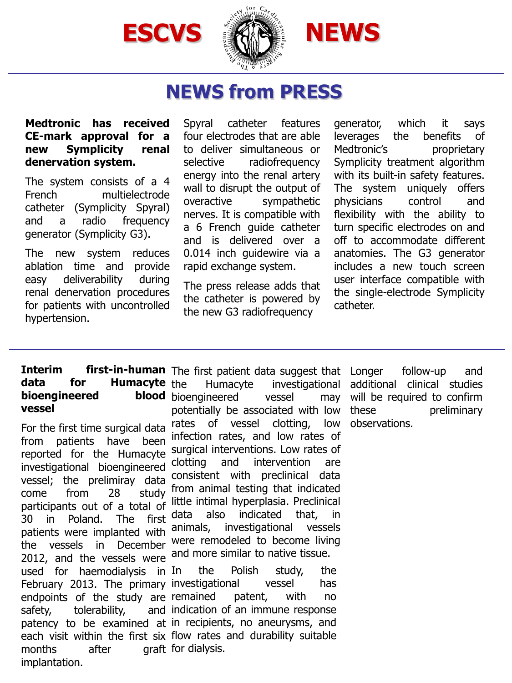![](_page_2_Picture_0.jpeg)

![](_page_2_Picture_1.jpeg)

## **NEWS from PRESS**

### **Medtronic has received CE-mark approval for a new Symplicity renal denervation system.**

The system consists of a 4 French multielectrode catheter (Symplicity Spyral) and a radio frequency generator (Symplicity G3).

The new system reduces ablation time and provide easy deliverability during renal denervation procedures for patients with uncontrolled hypertension.

Spyral catheter features four electrodes that are able to deliver simultaneous or selective radiofrequency energy into the renal artery wall to disrupt the output of overactive sympathetic nerves. It is compatible with a 6 French guide catheter and is delivered over a 0.014 inch guidewire via a rapid exchange system.

The press release adds that the catheter is powered by the new G3 radiofrequency

generator, which it says leverages the benefits of Medtronic's proprietary Symplicity treatment algorithm with its built-in safety features. The system uniquely offers physicians control and flexibility with the ability to turn specific electrodes on and off to accommodate different anatomies. The G3 generator includes a new touch screen user interface compatible with the single-electrode Symplicity catheter.

## **data for Humacyte bioengineered vessel**

For the first time surgical data from patients have been reported for the Humacyte investigational bioengineered vessel; the prelimiray data come from 28 study participants out of a total of 30 in Poland. The first patients were implanted with the vessels in December 2012, and the vessels were used for haemodialysis in safety, tolerability, months after implantation.

**Interim first-in-human** The first patient data suggest that Humacyte investigational **blood** bioengineered vessel may potentially be associated with low rates of vessel clotting, low infection rates, and low rates of surgical interventions. Low rates of clotting and intervention are consistent with preclinical data from animal testing that indicated little intimal hyperplasia. Preclinical data also indicated that, in animals, investigational vessels were remodeled to become living and more similar to native tissue.

February 2013. The primary investigational vessel has endpoints of the study are remained patent, with no patency to be examined at in recipients, no aneurysms, and each visit within the first six flow rates and durability suitable the Polish study, the and indication of an immune response araft for dialysis.

follow-up and additional clinical studies will be required to confirm these preliminary observations.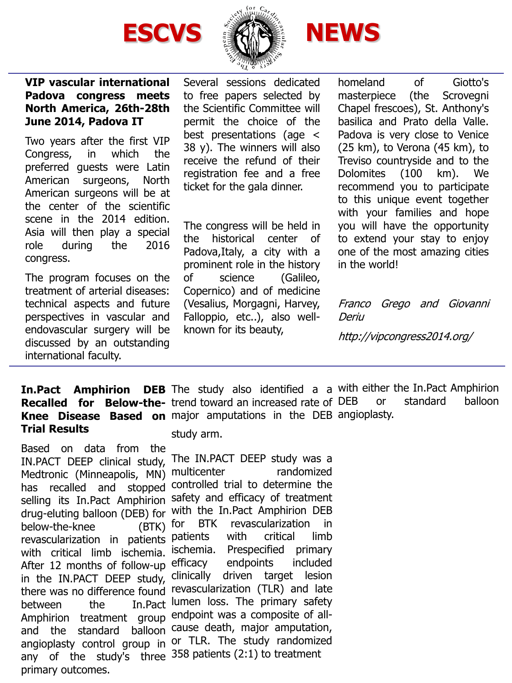![](_page_3_Picture_0.jpeg)

![](_page_3_Picture_1.jpeg)

## **VIP vascular international Padova congress meets North America, 26th-28th June 2014, Padova IT**

Two years after the first VIP Congress, in which the preferred guests were Latin American surgeons, North American surgeons will be at the center of the scientific scene in the 2014 edition. Asia will then play a special role during the 2016 congress.

The program focuses on the treatment of arterial diseases: technical aspects and future perspectives in vascular and endovascular surgery will be discussed by an outstanding international faculty.

Several sessions dedicated to free papers selected by the Scientific Committee will permit the choice of the best presentations (age < 38 y). The winners will also receive the refund of their registration fee and a free ticket for the gala dinner.

The congress will be held in the historical center of Padova,Italy, a city with a prominent role in the history of science (Galileo, Copernico) and of medicine (Vesalius, Morgagni, Harvey, Falloppio, etc..), also wellknown for its beauty,

homeland of Giotto's masterpiece (the Scrovegni Chapel frescoes), St. Anthony's basilica and Prato della Valle. Padova is very close to Venice (25 km), to Verona (45 km), to Treviso countryside and to the Dolomites (100 km). We recommend you to participate to this unique event together with your families and hope you will have the opportunity to extend your stay to enjoy one of the most amazing cities in the world!

Franco Grego and Giovanni Deriu

http://vipcongress2014.org/

# **Trial Results**

Based on data from the IN.PACT DEEP clinical study, Medtronic (Minneapolis, MN) has recalled and stopped selling its In.Pact Amphirion drug-eluting balloon (DEB) for below-the-knee (BTK) with critical limb ischemia. After 12 months of follow-up in the IN.PACT DEEP study, there was no difference found between the In.Pact Amphirion treatment group and the standard balloon angioplasty control group in any of the study's three primary outcomes.

**In.Pact Amphirion DEB** The study also identified a a with either the In.Pact Amphirion **Recalled for Below-the-**trend toward an increased rate of **Knee Disease Based on** major amputations in the DEB angioplasty.or standard balloon

study arm.

revascularization in patients patients with critical limb The IN.PACT DEEP study was a multicenter randomized controlled trial to determine the safety and efficacy of treatment with the In.Pact Amphirion DEB for BTK revascularization in ischemia. Prespecified primary efficacy endpoints included clinically driven target lesion revascularization (TLR) and late lumen loss. The primary safety endpoint was a composite of allcause death, major amputation, or TLR. The study randomized 358 patients (2:1) to treatment